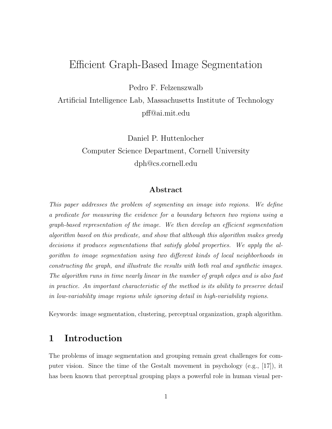# Efficient Graph-Based Image Segmentation

Pedro F. Felzenszwalb

Artificial Intelligence Lab, Massachusetts Institute of Technology pff@ai.mit.edu

> Daniel P. Huttenlocher Computer Science Department, Cornell University dph@cs.cornell.edu

### Abstract

This paper addresses the problem of segmenting an image into regions. We define a predicate for measuring the evidence for a boundary between two regions using a graph-based representation of the image. We then develop an efficient segmentation algorithm based on this predicate, and show that although this algorithm makes greedy decisions it produces segmentations that satisfy global properties. We apply the algorithm to image segmentation using two different kinds of local neighborhoods in constructing the graph, and illustrate the results with both real and synthetic images. The algorithm runs in time nearly linear in the number of graph edges and is also fast in practice. An important characteristic of the method is its ability to preserve detail in low-variability image regions while ignoring detail in high-variability regions.

Keywords: image segmentation, clustering, perceptual organization, graph algorithm.

# 1 Introduction

The problems of image segmentation and grouping remain great challenges for computer vision. Since the time of the Gestalt movement in psychology (e.g., [17]), it has been known that perceptual grouping plays a powerful role in human visual per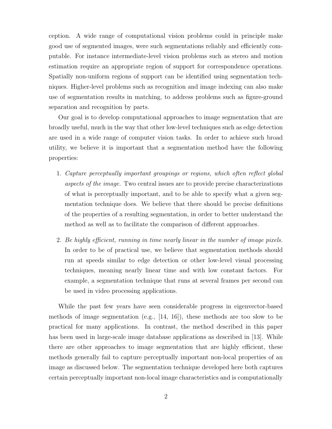ception. A wide range of computational vision problems could in principle make good use of segmented images, were such segmentations reliably and efficiently computable. For instance intermediate-level vision problems such as stereo and motion estimation require an appropriate region of support for correspondence operations. Spatially non-uniform regions of support can be identified using segmentation techniques. Higher-level problems such as recognition and image indexing can also make use of segmentation results in matching, to address problems such as figure-ground separation and recognition by parts.

Our goal is to develop computational approaches to image segmentation that are broadly useful, much in the way that other low-level techniques such as edge detection are used in a wide range of computer vision tasks. In order to achieve such broad utility, we believe it is important that a segmentation method have the following properties:

- 1. Capture perceptually important groupings or regions, which often reflect global aspects of the image. Two central issues are to provide precise characterizations of what is perceptually important, and to be able to specify what a given segmentation technique does. We believe that there should be precise definitions of the properties of a resulting segmentation, in order to better understand the method as well as to facilitate the comparison of different approaches.
- 2. Be highly efficient, running in time nearly linear in the number of image pixels. In order to be of practical use, we believe that segmentation methods should run at speeds similar to edge detection or other low-level visual processing techniques, meaning nearly linear time and with low constant factors. For example, a segmentation technique that runs at several frames per second can be used in video processing applications.

While the past few years have seen considerable progress in eigenvector-based methods of image segmentation (e.g., [14, 16]), these methods are too slow to be practical for many applications. In contrast, the method described in this paper has been used in large-scale image database applications as described in [13]. While there are other approaches to image segmentation that are highly efficient, these methods generally fail to capture perceptually important non-local properties of an image as discussed below. The segmentation technique developed here both captures certain perceptually important non-local image characteristics and is computationally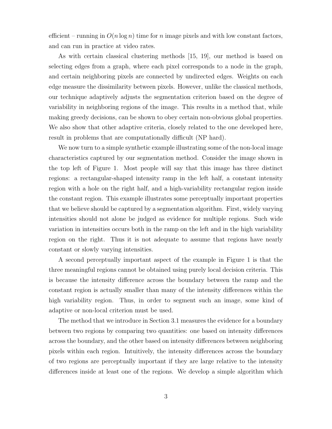efficient – running in  $O(n \log n)$  time for n image pixels and with low constant factors, and can run in practice at video rates.

As with certain classical clustering methods [15, 19], our method is based on selecting edges from a graph, where each pixel corresponds to a node in the graph, and certain neighboring pixels are connected by undirected edges. Weights on each edge measure the dissimilarity between pixels. However, unlike the classical methods, our technique adaptively adjusts the segmentation criterion based on the degree of variability in neighboring regions of the image. This results in a method that, while making greedy decisions, can be shown to obey certain non-obvious global properties. We also show that other adaptive criteria, closely related to the one developed here, result in problems that are computationally difficult (NP hard).

We now turn to a simple synthetic example illustrating some of the non-local image characteristics captured by our segmentation method. Consider the image shown in the top left of Figure 1. Most people will say that this image has three distinct regions: a rectangular-shaped intensity ramp in the left half, a constant intensity region with a hole on the right half, and a high-variability rectangular region inside the constant region. This example illustrates some perceptually important properties that we believe should be captured by a segmentation algorithm. First, widely varying intensities should not alone be judged as evidence for multiple regions. Such wide variation in intensities occurs both in the ramp on the left and in the high variability region on the right. Thus it is not adequate to assume that regions have nearly constant or slowly varying intensities.

A second perceptually important aspect of the example in Figure 1 is that the three meaningful regions cannot be obtained using purely local decision criteria. This is because the intensity difference across the boundary between the ramp and the constant region is actually smaller than many of the intensity differences within the high variability region. Thus, in order to segment such an image, some kind of adaptive or non-local criterion must be used.

The method that we introduce in Section 3.1 measures the evidence for a boundary between two regions by comparing two quantities: one based on intensity differences across the boundary, and the other based on intensity differences between neighboring pixels within each region. Intuitively, the intensity differences across the boundary of two regions are perceptually important if they are large relative to the intensity differences inside at least one of the regions. We develop a simple algorithm which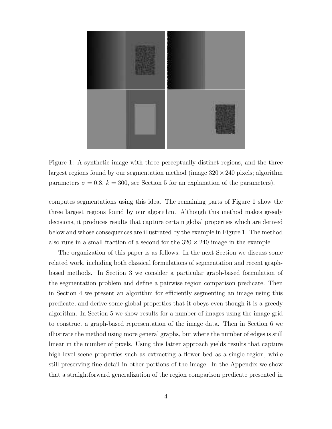

Figure 1: A synthetic image with three perceptually distinct regions, and the three largest regions found by our segmentation method (image  $320 \times 240$  pixels; algorithm parameters  $\sigma = 0.8$ ,  $k = 300$ , see Section 5 for an explanation of the parameters).

computes segmentations using this idea. The remaining parts of Figure 1 show the three largest regions found by our algorithm. Although this method makes greedy decisions, it produces results that capture certain global properties which are derived below and whose consequences are illustrated by the example in Figure 1. The method also runs in a small fraction of a second for the  $320 \times 240$  image in the example.

The organization of this paper is as follows. In the next Section we discuss some related work, including both classical formulations of segmentation and recent graphbased methods. In Section 3 we consider a particular graph-based formulation of the segmentation problem and define a pairwise region comparison predicate. Then in Section 4 we present an algorithm for efficiently segmenting an image using this predicate, and derive some global properties that it obeys even though it is a greedy algorithm. In Section 5 we show results for a number of images using the image grid to construct a graph-based representation of the image data. Then in Section 6 we illustrate the method using more general graphs, but where the number of edges is still linear in the number of pixels. Using this latter approach yields results that capture high-level scene properties such as extracting a flower bed as a single region, while still preserving fine detail in other portions of the image. In the Appendix we show that a straightforward generalization of the region comparison predicate presented in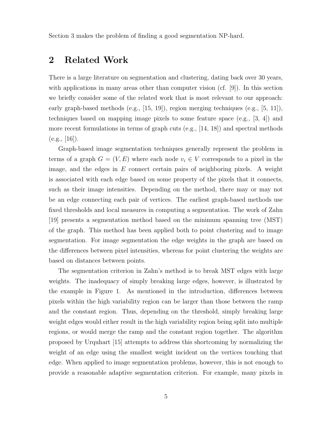Section 3 makes the problem of finding a good segmentation NP-hard.

# 2 Related Work

There is a large literature on segmentation and clustering, dating back over 30 years, with applications in many areas other than computer vision (cf. [9]). In this section we briefly consider some of the related work that is most relevant to our approach: early graph-based methods (e.g.,  $[15, 19]$ ), region merging techniques (e.g.,  $[5, 11]$ ), techniques based on mapping image pixels to some feature space (e.g., [3, 4]) and more recent formulations in terms of graph cuts (e.g., [14, 18]) and spectral methods  $(e.g., [16]).$ 

Graph-based image segmentation techniques generally represent the problem in terms of a graph  $G = (V, E)$  where each node  $v_i \in V$  corresponds to a pixel in the image, and the edges in  $E$  connect certain pairs of neighboring pixels. A weight is associated with each edge based on some property of the pixels that it connects, such as their image intensities. Depending on the method, there may or may not be an edge connecting each pair of vertices. The earliest graph-based methods use fixed thresholds and local measures in computing a segmentation. The work of Zahn [19] presents a segmentation method based on the minimum spanning tree (MST) of the graph. This method has been applied both to point clustering and to image segmentation. For image segmentation the edge weights in the graph are based on the differences between pixel intensities, whereas for point clustering the weights are based on distances between points.

The segmentation criterion in Zahn's method is to break MST edges with large weights. The inadequacy of simply breaking large edges, however, is illustrated by the example in Figure 1. As mentioned in the introduction, differences between pixels within the high variability region can be larger than those between the ramp and the constant region. Thus, depending on the threshold, simply breaking large weight edges would either result in the high variability region being split into multiple regions, or would merge the ramp and the constant region together. The algorithm proposed by Urquhart [15] attempts to address this shortcoming by normalizing the weight of an edge using the smallest weight incident on the vertices touching that edge. When applied to image segmentation problems, however, this is not enough to provide a reasonable adaptive segmentation criterion. For example, many pixels in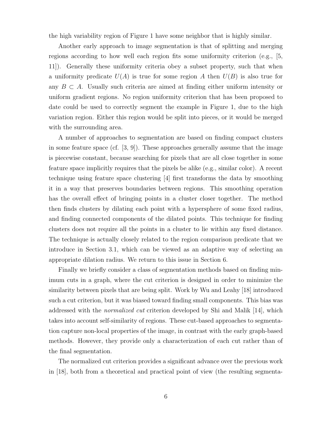the high variability region of Figure 1 have some neighbor that is highly similar.

Another early approach to image segmentation is that of splitting and merging regions according to how well each region fits some uniformity criterion (e.g., [5, 11]). Generally these uniformity criteria obey a subset property, such that when a uniformity predicate  $U(A)$  is true for some region A then  $U(B)$  is also true for any  $B \subset A$ . Usually such criteria are aimed at finding either uniform intensity or uniform gradient regions. No region uniformity criterion that has been proposed to date could be used to correctly segment the example in Figure 1, due to the high variation region. Either this region would be split into pieces, or it would be merged with the surrounding area.

A number of approaches to segmentation are based on finding compact clusters in some feature space (cf.  $[3, 9]$ ). These approaches generally assume that the image is piecewise constant, because searching for pixels that are all close together in some feature space implicitly requires that the pixels be alike (e.g., similar color). A recent technique using feature space clustering [4] first transforms the data by smoothing it in a way that preserves boundaries between regions. This smoothing operation has the overall effect of bringing points in a cluster closer together. The method then finds clusters by dilating each point with a hypersphere of some fixed radius, and finding connected components of the dilated points. This technique for finding clusters does not require all the points in a cluster to lie within any fixed distance. The technique is actually closely related to the region comparison predicate that we introduce in Section 3.1, which can be viewed as an adaptive way of selecting an appropriate dilation radius. We return to this issue in Section 6.

Finally we briefly consider a class of segmentation methods based on finding minimum cuts in a graph, where the cut criterion is designed in order to minimize the similarity between pixels that are being split. Work by Wu and Leahy [18] introduced such a cut criterion, but it was biased toward finding small components. This bias was addressed with the normalized cut criterion developed by Shi and Malik [14], which takes into account self-similarity of regions. These cut-based approaches to segmentation capture non-local properties of the image, in contrast with the early graph-based methods. However, they provide only a characterization of each cut rather than of the final segmentation.

The normalized cut criterion provides a significant advance over the previous work in [18], both from a theoretical and practical point of view (the resulting segmenta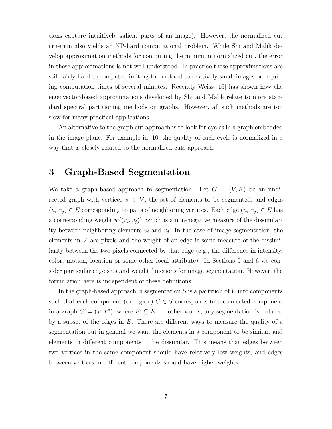tions capture intuitively salient parts of an image). However, the normalized cut criterion also yields an NP-hard computational problem. While Shi and Malik develop approximation methods for computing the minimum normalized cut, the error in these approximations is not well understood. In practice these approximations are still fairly hard to compute, limiting the method to relatively small images or requiring computation times of several minutes. Recently Weiss [16] has shown how the eigenvector-based approximations developed by Shi and Malik relate to more standard spectral partitioning methods on graphs. However, all such methods are too slow for many practical applications.

An alternative to the graph cut approach is to look for cycles in a graph embedded in the image plane. For example in [10] the quality of each cycle is normalized in a way that is closely related to the normalized cuts approach.

# 3 Graph-Based Segmentation

We take a graph-based approach to segmentation. Let  $G = (V, E)$  be an undirected graph with vertices  $v_i \in V$ , the set of elements to be segmented, and edges  $(v_i, v_j) \in E$  corresponding to pairs of neighboring vertices. Each edge  $(v_i, v_j) \in E$  has a corresponding weight  $w((v_i, v_j))$ , which is a non-negative measure of the dissimilarity between neighboring elements  $v_i$  and  $v_j$ . In the case of image segmentation, the elements in  $V$  are pixels and the weight of an edge is some measure of the dissimilarity between the two pixels connected by that edge (e.g., the difference in intensity, color, motion, location or some other local attribute). In Sections 5 and 6 we consider particular edge sets and weight functions for image segmentation. However, the formulation here is independent of these definitions.

In the graph-based approach, a segmentation  $S$  is a partition of  $V$  into components such that each component (or region)  $C \in S$  corresponds to a connected component in a graph  $G' = (V, E')$ , where  $E' \subseteq E$ . In other words, any segmentation is induced by a subset of the edges in  $E$ . There are different ways to measure the quality of a segmentation but in general we want the elements in a component to be similar, and elements in different components to be dissimilar. This means that edges between two vertices in the same component should have relatively low weights, and edges between vertices in different components should have higher weights.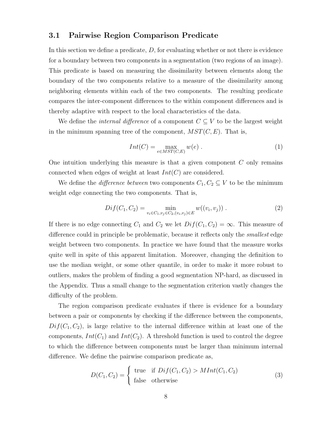### 3.1 Pairwise Region Comparison Predicate

In this section we define a predicate,  $D$ , for evaluating whether or not there is evidence for a boundary between two components in a segmentation (two regions of an image). This predicate is based on measuring the dissimilarity between elements along the boundary of the two components relative to a measure of the dissimilarity among neighboring elements within each of the two components. The resulting predicate compares the inter-component differences to the within component differences and is thereby adaptive with respect to the local characteristics of the data.

We define the *internal difference* of a component  $C \subseteq V$  to be the largest weight in the minimum spanning tree of the component,  $MST(C, E)$ . That is,

$$
Int(C) = \max_{e \in MST(C,E)} w(e) . \tag{1}
$$

One intuition underlying this measure is that a given component  $C$  only remains connected when edges of weight at least  $Int(C)$  are considered.

We define the *difference between* two components  $C_1, C_2 \subseteq V$  to be the minimum weight edge connecting the two components. That is,

$$
Diff(C_1, C_2) = \min_{v_i \in C_1, v_j \in C_2, (v_i, v_j) \in E} w((v_i, v_j)).
$$
\n(2)

If there is no edge connecting  $C_1$  and  $C_2$  we let  $Dif(C_1, C_2) = \infty$ . This measure of difference could in principle be problematic, because it reflects only the *smallest* edge weight between two components. In practice we have found that the measure works quite well in spite of this apparent limitation. Moreover, changing the definition to use the median weight, or some other quantile, in order to make it more robust to outliers, makes the problem of finding a good segmentation NP-hard, as discussed in the Appendix. Thus a small change to the segmentation criterion vastly changes the difficulty of the problem.

The region comparison predicate evaluates if there is evidence for a boundary between a pair or components by checking if the difference between the components,  $Diff(C_1, C_2)$ , is large relative to the internal difference within at least one of the components,  $Int(C_1)$  and  $Int(C_2)$ . A threshold function is used to control the degree to which the difference between components must be larger than minimum internal difference. We define the pairwise comparison predicate as,

$$
D(C_1, C_2) = \begin{cases} \text{true} & \text{if } Dif(C_1, C_2) > MInt(C_1, C_2) \\ \text{false} & \text{otherwise} \end{cases}
$$
 (3)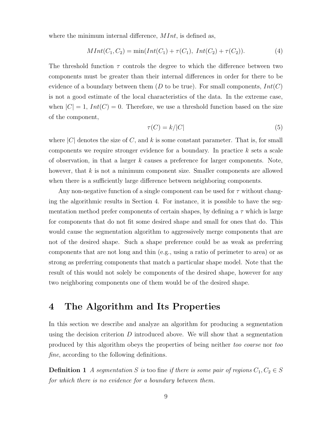where the minimum internal difference,  $MInt$ , is defined as,

$$
MInt(C_1, C_2) = \min(Int(C_1) + \tau(C_1), Int(C_2) + \tau(C_2)).
$$
\n(4)

The threshold function  $\tau$  controls the degree to which the difference between two components must be greater than their internal differences in order for there to be evidence of a boundary between them (D to be true). For small components,  $Int(C)$ is not a good estimate of the local characteristics of the data. In the extreme case, when  $|C| = 1$ ,  $Int(C) = 0$ . Therefore, we use a threshold function based on the size of the component,

$$
\tau(C) = k / |C| \tag{5}
$$

where  $|C|$  denotes the size of C, and k is some constant parameter. That is, for small components we require stronger evidence for a boundary. In practice  $k$  sets a scale of observation, in that a larger  $k$  causes a preference for larger components. Note, however, that  $k$  is not a minimum component size. Smaller components are allowed when there is a sufficiently large difference between neighboring components.

Any non-negative function of a single component can be used for  $\tau$  without changing the algorithmic results in Section 4. For instance, it is possible to have the segmentation method prefer components of certain shapes, by defining a  $\tau$  which is large for components that do not fit some desired shape and small for ones that do. This would cause the segmentation algorithm to aggressively merge components that are not of the desired shape. Such a shape preference could be as weak as preferring components that are not long and thin (e.g., using a ratio of perimeter to area) or as strong as preferring components that match a particular shape model. Note that the result of this would not solely be components of the desired shape, however for any two neighboring components one of them would be of the desired shape.

# 4 The Algorithm and Its Properties

In this section we describe and analyze an algorithm for producing a segmentation using the decision criterion  $D$  introduced above. We will show that a segmentation produced by this algorithm obeys the properties of being neither too coarse nor too fine, according to the following definitions.

**Definition 1** A segmentation S is too fine if there is some pair of regions  $C_1, C_2 \in S$ for which there is no evidence for a boundary between them.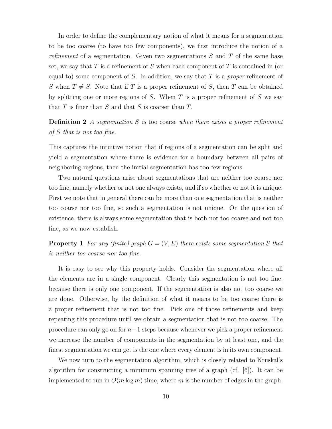In order to define the complementary notion of what it means for a segmentation to be too coarse (to have too few components), we first introduce the notion of a refinement of a segmentation. Given two segmentations  $S$  and  $T$  of the same base set, we say that T is a refinement of S when each component of T is contained in (or equal to) some component of S. In addition, we say that T is a *proper* refinement of S when  $T \neq S$ . Note that if T is a proper refinement of S, then T can be obtained by splitting one or more regions of S. When T is a proper refinement of S we say that T is finer than S and that S is coarser than T.

## **Definition 2** A sequentation S is too coarse when there exists a proper refinement of S that is not too fine.

This captures the intuitive notion that if regions of a segmentation can be split and yield a segmentation where there is evidence for a boundary between all pairs of neighboring regions, then the initial segmentation has too few regions.

Two natural questions arise about segmentations that are neither too coarse nor too fine, namely whether or not one always exists, and if so whether or not it is unique. First we note that in general there can be more than one segmentation that is neither too coarse nor too fine, so such a segmentation is not unique. On the question of existence, there is always some segmentation that is both not too coarse and not too fine, as we now establish.

**Property 1** For any (finite) graph  $G = (V, E)$  there exists some sequentation S that is neither too coarse nor too fine.

It is easy to see why this property holds. Consider the segmentation where all the elements are in a single component. Clearly this segmentation is not too fine, because there is only one component. If the segmentation is also not too coarse we are done. Otherwise, by the definition of what it means to be too coarse there is a proper refinement that is not too fine. Pick one of those refinements and keep repeating this procedure until we obtain a segmentation that is not too coarse. The procedure can only go on for  $n-1$  steps because whenever we pick a proper refinement we increase the number of components in the segmentation by at least one, and the finest segmentation we can get is the one where every element is in its own component.

We now turn to the segmentation algorithm, which is closely related to Kruskal's algorithm for constructing a minimum spanning tree of a graph  $(cf. [6])$ . It can be implemented to run in  $O(m \log m)$  time, where m is the number of edges in the graph.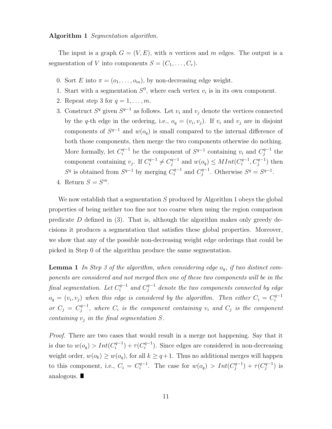#### Algorithm 1 Segmentation algorithm.

The input is a graph  $G = (V, E)$ , with n vertices and m edges. The output is a segmentation of V into components  $S = (C_1, \ldots, C_r)$ .

- 0. Sort E into  $\pi = (o_1, \ldots, o_m)$ , by non-decreasing edge weight.
- 1. Start with a segmentation  $S^0$ , where each vertex  $v_i$  is in its own component.
- 2. Repeat step 3 for  $q = 1, \ldots, m$ .
- 3. Construct  $S<sup>q</sup>$  given  $S<sup>q-1</sup>$  as follows. Let  $v<sub>i</sub>$  and  $v<sub>j</sub>$  denote the vertices connected by the q-th edge in the ordering, i.e.,  $o_q = (v_i, v_j)$ . If  $v_i$  and  $v_j$  are in disjoint components of  $S^{q-1}$  and  $w(o_q)$  is small compared to the internal difference of both those components, then merge the two components otherwise do nothing. More formally, let  $C_i^{q-1}$  be the component of  $S^{q-1}$  containing  $v_i$  and  $C_j^{q-1}$  $j^{q-1}$  the component containing  $v_j$ . If  $C_i^{q-1} \neq C_j^{q-1}$  and  $w(o_q) \leq MInt(C_i^{q-1})$  $i^{q-1}, C_j^{q-1}$  $j^{q-1})$  then  $S<sup>q</sup>$  is obtained from  $S<sup>q-1</sup>$  by merging  $C_i^{q-1}$  and  $C_j^{q-1}$  $j^{q-1}$ . Otherwise  $S^q = S^{q-1}$ .
- 4. Return  $S = S^m$ .

We now establish that a segmentation  $S$  produced by Algorithm 1 obeys the global properties of being neither too fine nor too coarse when using the region comparison predicate  $D$  defined in (3). That is, although the algorithm makes only greedy decisions it produces a segmentation that satisfies these global properties. Moreover, we show that any of the possible non-decreasing weight edge orderings that could be picked in Step 0 of the algorithm produce the same segmentation.

**Lemma 1** In Step 3 of the algorithm, when considering edge  $o_q$ , if two distinct components are considered and not merged then one of these two components will be in the final segmentation. Let  $C_i^{q-1}$  and  $C_j^{q-1}$  denote the two components connected by edge  $o_q = (v_i, v_j)$  when this edge is considered by the algorithm. Then either  $C_i = C_i^{q-1}$ i or  $C_j = C_j^{q-1}$  $g_j^{q-1}$ , where  $C_i$  is the component containing  $v_i$  and  $C_j$  is the component containing  $v_j$  in the final segmentation S.

Proof. There are two cases that would result in a merge not happening. Say that it is due to  $w(o_q) > Int(C_i^{q-1})$  $(\sigma_i^{q-1}) + \tau (C_i^{q-1})$  $i^{q-1}$ ). Since edges are considered in non-decreasing weight order,  $w(o_k) \geq w(o_q)$ , for all  $k \geq q+1$ . Thus no additional merges will happen to this component, i.e.,  $C_i = C_i^{q-1}$  $i^{q-1}$ . The case for  $w(o_q) > Int(C_j^{q-1})$  $j^{(q-1)}$ ) +  $\tau(C_j^{q-1})$  $j^{q-1})$  is analogous.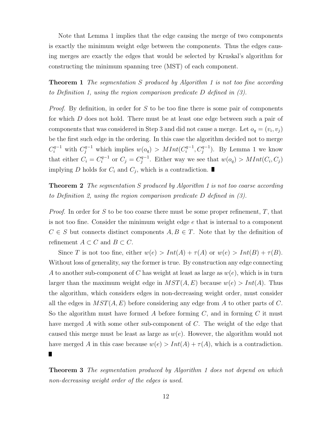Note that Lemma 1 implies that the edge causing the merge of two components is exactly the minimum weight edge between the components. Thus the edges causing merges are exactly the edges that would be selected by Kruskal's algorithm for constructing the minimum spanning tree (MST) of each component.

**Theorem 1** The segmentation S produced by Algorithm 1 is not too fine according to Definition 1, using the region comparison predicate D defined in (3).

*Proof.* By definition, in order for  $S$  to be too fine there is some pair of components for which D does not hold. There must be at least one edge between such a pair of components that was considered in Step 3 and did not cause a merge. Let  $o_q = (v_i, v_j)$ be the first such edge in the ordering. In this case the algorithm decided not to merge  $C_i^{q-1}$  with  $C_j^{q-1}$  which implies  $w(o_q) > MInt(C_i^{q-1})$  $C_j^{q-1}$ ,  $C_j^{q-1}$  $j^{(q-1)}$ ). By Lemma 1 we know that either  $C_i = C_i^{q-1}$  or  $C_j = C_j^{q-1}$  $j^{q-1}$ . Either way we see that  $w(o_q) > MInt(C_i, C_j)$ implying D holds for  $C_i$  and  $C_j$ , which is a contradiction.

**Theorem 2** The segmentation S produced by Algorithm 1 is not too coarse according to Definition 2, using the region comparison predicate D defined in (3).

*Proof.* In order for S to be too coarse there must be some proper refinement, T, that is not too fine. Consider the minimum weight edge e that is internal to a component  $C \in S$  but connects distinct components  $A, B \in T$ . Note that by the definition of refinement  $A \subset C$  and  $B \subset C$ .

Since T is not too fine, either  $w(e) > Int(A) + \tau(A)$  or  $w(e) > Int(B) + \tau(B)$ . Without loss of generality, say the former is true. By construction any edge connecting A to another sub-component of C has weight at least as large as  $w(e)$ , which is in turn larger than the maximum weight edge in  $MST(A, E)$  because  $w(e) > Int(A)$ . Thus the algorithm, which considers edges in non-decreasing weight order, must consider all the edges in  $MST(A, E)$  before considering any edge from A to other parts of C. So the algorithm must have formed A before forming  $C$ , and in forming  $C$  it must have merged A with some other sub-component of C. The weight of the edge that caused this merge must be least as large as  $w(e)$ . However, the algorithm would not have merged A in this case because  $w(e) > Int(A) + \tau(A)$ , which is a contradiction.  $\blacksquare$ 

**Theorem 3** The segmentation produced by Algorithm 1 does not depend on which non-decreasing weight order of the edges is used.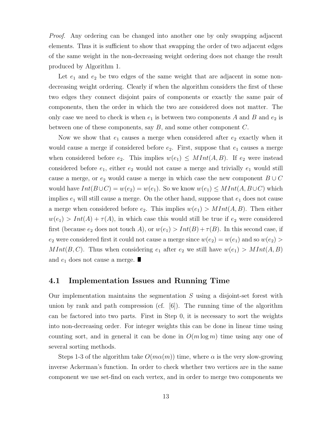Proof. Any ordering can be changed into another one by only swapping adjacent elements. Thus it is sufficient to show that swapping the order of two adjacent edges of the same weight in the non-decreasing weight ordering does not change the result produced by Algorithm 1.

Let  $e_1$  and  $e_2$  be two edges of the same weight that are adjacent in some nondecreasing weight ordering. Clearly if when the algorithm considers the first of these two edges they connect disjoint pairs of components or exactly the same pair of components, then the order in which the two are considered does not matter. The only case we need to check is when  $e_1$  is between two components A and B and  $e_2$  is between one of these components, say  $B$ , and some other component  $C$ .

Now we show that  $e_1$  causes a merge when considered after  $e_2$  exactly when it would cause a merge if considered before  $e_2$ . First, suppose that  $e_1$  causes a merge when considered before  $e_2$ . This implies  $w(e_1) \leq MInt(A, B)$ . If  $e_2$  were instead considered before  $e_1$ , either  $e_2$  would not cause a merge and trivially  $e_1$  would still cause a merge, or  $e_2$  would cause a merge in which case the new component  $B\cup C$ would have  $Int(B\cup C) = w(e_2) = w(e_1)$ . So we know  $w(e_1) \leq MInt(A, B\cup C)$  which implies  $e_1$  will still cause a merge. On the other hand, suppose that  $e_1$  does not cause a merge when considered before  $e_2$ . This implies  $w(e_1) > MInt(A, B)$ . Then either  $w(e_1) > Int(A) + \tau(A)$ , in which case this would still be true if  $e_2$  were considered first (because  $e_2$  does not touch A), or  $w(e_1) > Int(B) + \tau(B)$ . In this second case, if  $e_2$  were considered first it could not cause a merge since  $w(e_2) = w(e_1)$  and so  $w(e_2)$  $MInt(B, C)$ . Thus when considering  $e_1$  after  $e_2$  we still have  $w(e_1) > MInt(A, B)$ and  $e_1$  does not cause a merge.

### 4.1 Implementation Issues and Running Time

Our implementation maintains the segmentation  $S$  using a disjoint-set forest with union by rank and path compression (cf.  $[6]$ ). The running time of the algorithm can be factored into two parts. First in Step 0, it is necessary to sort the weights into non-decreasing order. For integer weights this can be done in linear time using counting sort, and in general it can be done in  $O(m \log m)$  time using any one of several sorting methods.

Steps 1-3 of the algorithm take  $O(m\alpha(m))$  time, where  $\alpha$  is the very slow-growing inverse Ackerman's function. In order to check whether two vertices are in the same component we use set-find on each vertex, and in order to merge two components we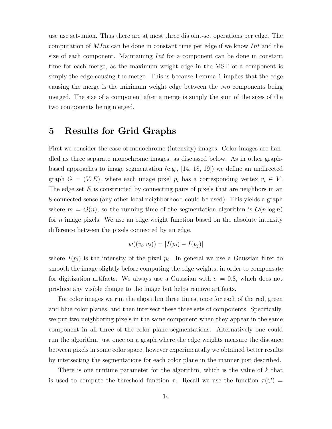use use set-union. Thus there are at most three disjoint-set operations per edge. The computation of MInt can be done in constant time per edge if we know Int and the size of each component. Maintaining Int for a component can be done in constant time for each merge, as the maximum weight edge in the MST of a component is simply the edge causing the merge. This is because Lemma 1 implies that the edge causing the merge is the minimum weight edge between the two components being merged. The size of a component after a merge is simply the sum of the sizes of the two components being merged.

# 5 Results for Grid Graphs

First we consider the case of monochrome (intensity) images. Color images are handled as three separate monochrome images, as discussed below. As in other graphbased approaches to image segmentation (e.g., [14, 18, 19]) we define an undirected graph  $G = (V, E)$ , where each image pixel  $p_i$  has a corresponding vertex  $v_i \in V$ . The edge set  $E$  is constructed by connecting pairs of pixels that are neighbors in an 8-connected sense (any other local neighborhood could be used). This yields a graph where  $m = O(n)$ , so the running time of the segmentation algorithm is  $O(n \log n)$ for  $n$  image pixels. We use an edge weight function based on the absolute intensity difference between the pixels connected by an edge,

$$
w((v_i, v_j)) = |I(p_i) - I(p_j)|
$$

where  $I(p_i)$  is the intensity of the pixel  $p_i$ . In general we use a Gaussian filter to smooth the image slightly before computing the edge weights, in order to compensate for digitization artifacts. We always use a Gaussian with  $\sigma = 0.8$ , which does not produce any visible change to the image but helps remove artifacts.

For color images we run the algorithm three times, once for each of the red, green and blue color planes, and then intersect these three sets of components. Specifically, we put two neighboring pixels in the same component when they appear in the same component in all three of the color plane segmentations. Alternatively one could run the algorithm just once on a graph where the edge weights measure the distance between pixels in some color space, however experimentally we obtained better results by intersecting the segmentations for each color plane in the manner just described.

There is one runtime parameter for the algorithm, which is the value of  $k$  that is used to compute the threshold function  $\tau$ . Recall we use the function  $\tau(C)$  =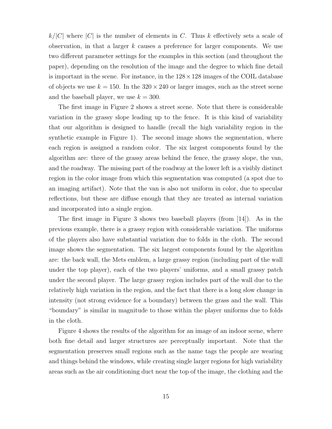$k/|C|$  where  $|C|$  is the number of elements in C. Thus k effectively sets a scale of observation, in that a larger  $k$  causes a preference for larger components. We use two different parameter settings for the examples in this section (and throughout the paper), depending on the resolution of the image and the degree to which fine detail is important in the scene. For instance, in the  $128 \times 128$  images of the COIL database of objects we use  $k = 150$ . In the  $320 \times 240$  or larger images, such as the street scene and the baseball player, we use  $k = 300$ .

The first image in Figure 2 shows a street scene. Note that there is considerable variation in the grassy slope leading up to the fence. It is this kind of variability that our algorithm is designed to handle (recall the high variability region in the synthetic example in Figure 1). The second image shows the segmentation, where each region is assigned a random color. The six largest components found by the algorithm are: three of the grassy areas behind the fence, the grassy slope, the van, and the roadway. The missing part of the roadway at the lower left is a visibly distinct region in the color image from which this segmentation was computed (a spot due to an imaging artifact). Note that the van is also not uniform in color, due to specular reflections, but these are diffuse enough that they are treated as internal variation and incorporated into a single region.

The first image in Figure 3 shows two baseball players (from [14]). As in the previous example, there is a grassy region with considerable variation. The uniforms of the players also have substantial variation due to folds in the cloth. The second image shows the segmentation. The six largest components found by the algorithm are: the back wall, the Mets emblem, a large grassy region (including part of the wall under the top player), each of the two players' uniforms, and a small grassy patch under the second player. The large grassy region includes part of the wall due to the relatively high variation in the region, and the fact that there is a long slow change in intensity (not strong evidence for a boundary) between the grass and the wall. This "boundary" is similar in magnitude to those within the player uniforms due to folds in the cloth.

Figure 4 shows the results of the algorithm for an image of an indoor scene, where both fine detail and larger structures are perceptually important. Note that the segmentation preserves small regions such as the name tags the people are wearing and things behind the windows, while creating single larger regions for high variability areas such as the air conditioning duct near the top of the image, the clothing and the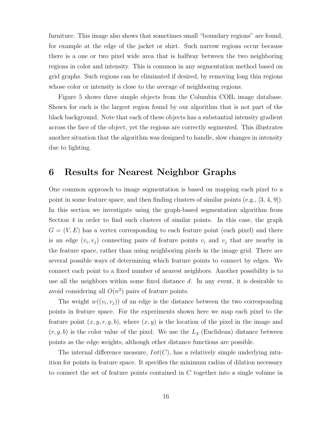furniture. This image also shows that sometimes small "boundary regions" are found, for example at the edge of the jacket or shirt. Such narrow regions occur because there is a one or two pixel wide area that is halfway between the two neighboring regions in color and intensity. This is common in any segmentation method based on grid graphs. Such regions can be eliminated if desired, by removing long thin regions whose color or intensity is close to the average of neighboring regions.

Figure 5 shows three simple objects from the Columbia COIL image database. Shown for each is the largest region found by our algorithm that is not part of the black background. Note that each of these objects has a substantial intensity gradient across the face of the object, yet the regions are correctly segmented. This illustrates another situation that the algorithm was designed to handle, slow changes in intensity due to lighting.

## 6 Results for Nearest Neighbor Graphs

One common approach to image segmentation is based on mapping each pixel to a point in some feature space, and then finding clusters of similar points (e.g., [3, 4, 9]). In this section we investigate using the graph-based segmentation algorithm from Section 4 in order to find such clusters of similar points. In this case, the graph  $G = (V, E)$  has a vertex corresponding to each feature point (each pixel) and there is an edge  $(v_i, v_j)$  connecting pairs of feature points  $v_i$  and  $v_j$  that are nearby in the feature space, rather than using neighboring pixels in the image grid. There are several possible ways of determining which feature points to connect by edges. We connect each point to a fixed number of nearest neighbors. Another possibility is to use all the neighbors within some fixed distance  $d$ . In any event, it is desirable to avoid considering all  $O(n^2)$  pairs of feature points.

The weight  $w((v_i, v_j))$  of an edge is the distance between the two corresponding points in feature space. For the experiments shown here we map each pixel to the feature point  $(x, y, r, q, b)$ , where  $(x, y)$  is the location of the pixel in the image and  $(r, g, b)$  is the color value of the pixel. We use the  $L_2$  (Euclidean) distance between points as the edge weights, although other distance functions are possible.

The internal difference measure,  $Int(C)$ , has a relatively simple underlying intuition for points in feature space. It specifies the minimum radius of dilation necessary to connect the set of feature points contained in  $C$  together into a single volume in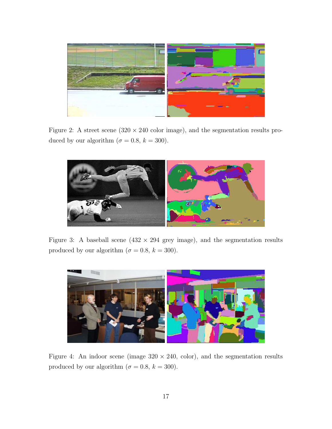

Figure 2: A street scene  $(320 \times 240 \text{ color image})$ , and the segmentation results produced by our algorithm ( $\sigma = 0.8$ ,  $k = 300$ ).



Figure 3: A baseball scene  $(432 \times 294$  grey image), and the segmentation results produced by our algorithm ( $\sigma = 0.8$ ,  $k = 300$ ).



Figure 4: An indoor scene (image  $320 \times 240$ , color), and the segmentation results produced by our algorithm ( $\sigma = 0.8$ ,  $k = 300$ ).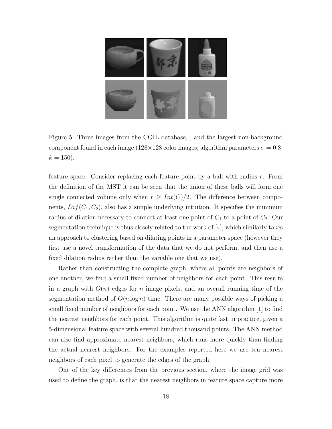

Figure 5: Three images from the COIL database, , and the largest non-background component found in each image ( $128\times128$  color images; algorithm parameters  $\sigma = 0.8$ ,  $k = 150$ ).

feature space. Consider replacing each feature point by a ball with radius r. From the definition of the MST it can be seen that the union of these balls will form one single connected volume only when  $r \geq Int(C)/2$ . The difference between components,  $Diff(C_1, C_2)$ , also has a simple underlying intuition. It specifies the minimum radius of dilation necessary to connect at least one point of  $C_1$  to a point of  $C_2$ . Our segmentation technique is thus closely related to the work of [4], which similarly takes an approach to clustering based on dilating points in a parameter space (however they first use a novel transformation of the data that we do not perform, and then use a fixed dilation radius rather than the variable one that we use).

Rather than constructing the complete graph, where all points are neighbors of one another, we find a small fixed number of neighbors for each point. This results in a graph with  $O(n)$  edges for n image pixels, and an overall running time of the segmentation method of  $O(n \log n)$  time. There are many possible ways of picking a small fixed number of neighbors for each point. We use the ANN algorithm [1] to find the nearest neighbors for each point. This algorithm is quite fast in practice, given a 5-dimensional feature space with several hundred thousand points. The ANN method can also find approximate nearest neighbors, which runs more quickly than finding the actual nearest neighbors. For the examples reported here we use ten nearest neighbors of each pixel to generate the edges of the graph.

One of the key differences from the previous section, where the image grid was used to define the graph, is that the nearest neighbors in feature space capture more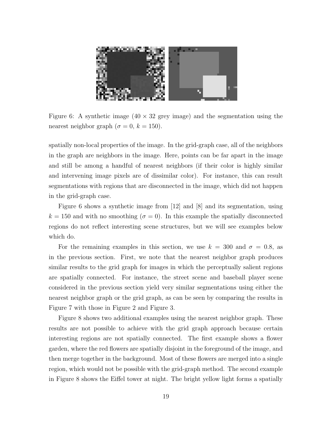

Figure 6: A synthetic image  $(40 \times 32$  grey image) and the segmentation using the nearest neighbor graph ( $\sigma = 0$ ,  $k = 150$ ).

spatially non-local properties of the image. In the grid-graph case, all of the neighbors in the graph are neighbors in the image. Here, points can be far apart in the image and still be among a handful of nearest neighbors (if their color is highly similar and intervening image pixels are of dissimilar color). For instance, this can result segmentations with regions that are disconnected in the image, which did not happen in the grid-graph case.

Figure 6 shows a synthetic image from [12] and [8] and its segmentation, using  $k = 150$  and with no smoothing ( $\sigma = 0$ ). In this example the spatially disconnected regions do not reflect interesting scene structures, but we will see examples below which do.

For the remaining examples in this section, we use  $k = 300$  and  $\sigma = 0.8$ , as in the previous section. First, we note that the nearest neighbor graph produces similar results to the grid graph for images in which the perceptually salient regions are spatially connected. For instance, the street scene and baseball player scene considered in the previous section yield very similar segmentations using either the nearest neighbor graph or the grid graph, as can be seen by comparing the results in Figure 7 with those in Figure 2 and Figure 3.

Figure 8 shows two additional examples using the nearest neighbor graph. These results are not possible to achieve with the grid graph approach because certain interesting regions are not spatially connected. The first example shows a flower garden, where the red flowers are spatially disjoint in the foreground of the image, and then merge together in the background. Most of these flowers are merged into a single region, which would not be possible with the grid-graph method. The second example in Figure 8 shows the Eiffel tower at night. The bright yellow light forms a spatially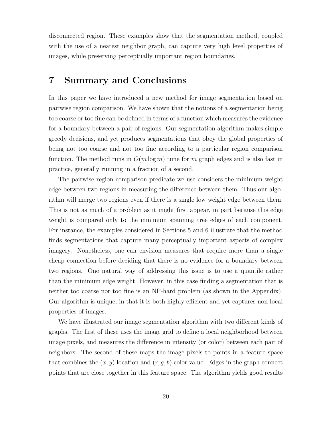disconnected region. These examples show that the segmentation method, coupled with the use of a nearest neighbor graph, can capture very high level properties of images, while preserving perceptually important region boundaries.

# 7 Summary and Conclusions

In this paper we have introduced a new method for image segmentation based on pairwise region comparison. We have shown that the notions of a segmentation being too coarse or too fine can be defined in terms of a function which measures the evidence for a boundary between a pair of regions. Our segmentation algorithm makes simple greedy decisions, and yet produces segmentations that obey the global properties of being not too coarse and not too fine according to a particular region comparison function. The method runs in  $O(m \log m)$  time for m graph edges and is also fast in practice, generally running in a fraction of a second.

The pairwise region comparison predicate we use considers the minimum weight edge between two regions in measuring the difference between them. Thus our algorithm will merge two regions even if there is a single low weight edge between them. This is not as much of a problem as it might first appear, in part because this edge weight is compared only to the minimum spanning tree edges of each component. For instance, the examples considered in Sections 5 and 6 illustrate that the method finds segmentations that capture many perceptually important aspects of complex imagery. Nonetheless, one can envision measures that require more than a single cheap connection before deciding that there is no evidence for a boundary between two regions. One natural way of addressing this issue is to use a quantile rather than the minimum edge weight. However, in this case finding a segmentation that is neither too coarse nor too fine is an NP-hard problem (as shown in the Appendix). Our algorithm is unique, in that it is both highly efficient and yet captures non-local properties of images.

We have illustrated our image segmentation algorithm with two different kinds of graphs. The first of these uses the image grid to define a local neighborhood between image pixels, and measures the difference in intensity (or color) between each pair of neighbors. The second of these maps the image pixels to points in a feature space that combines the  $(x, y)$  location and  $(r, g, b)$  color value. Edges in the graph connect points that are close together in this feature space. The algorithm yields good results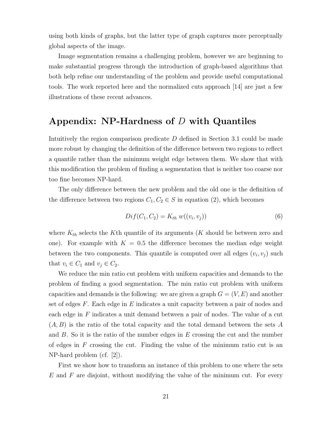using both kinds of graphs, but the latter type of graph captures more perceptually global aspects of the image.

Image segmentation remains a challenging problem, however we are beginning to make substantial progress through the introduction of graph-based algorithms that both help refine our understanding of the problem and provide useful computational tools. The work reported here and the normalized cuts approach [14] are just a few illustrations of these recent advances.

# Appendix: NP-Hardness of D with Quantiles

Intuitively the region comparison predicate  $D$  defined in Section 3.1 could be made more robust by changing the definition of the difference between two regions to reflect a quantile rather than the minimum weight edge between them. We show that with this modification the problem of finding a segmentation that is neither too coarse nor too fine becomes NP-hard.

The only difference between the new problem and the old one is the definition of the difference between two regions  $C_1, C_2 \in S$  in equation (2), which becomes

$$
Dif(C_1, C_2) = K_{th} w((v_i, v_j))
$$
\n(6)

where  $K_{th}$  selects the K<sup>th</sup> quantile of its arguments (K should be between zero and one). For example with  $K = 0.5$  the difference becomes the median edge weight between the two components. This quantile is computed over all edges  $(v_i, v_j)$  such that  $v_i \in C_1$  and  $v_j \in C_2$ .

We reduce the min ratio cut problem with uniform capacities and demands to the problem of finding a good segmentation. The min ratio cut problem with uniform capacities and demands is the following: we are given a graph  $G = (V, E)$  and another set of edges  $F$ . Each edge in  $E$  indicates a unit capacity between a pair of nodes and each edge in F indicates a unit demand between a pair of nodes. The value of a cut  $(A, B)$  is the ratio of the total capacity and the total demand between the sets A and  $B$ . So it is the ratio of the number edges in  $E$  crossing the cut and the number of edges in  $F$  crossing the cut. Finding the value of the minimum ratio cut is an NP-hard problem (cf. [2]).

First we show how to transform an instance of this problem to one where the sets  $E$  and  $F$  are disjoint, without modifying the value of the minimum cut. For every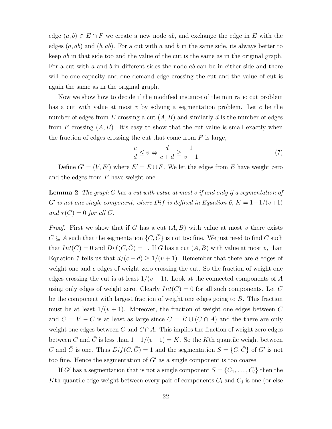edge  $(a, b) \in E \cap F$  we create a new node ab, and exchange the edge in E with the edges  $(a, ab)$  and  $(b, ab)$ . For a cut with a and b in the same side, its always better to keep ab in that side too and the value of the cut is the same as in the original graph. For a cut with a and b in different sides the node ab can be in either side and there will be one capacity and one demand edge crossing the cut and the value of cut is again the same as in the original graph.

Now we show how to decide if the modified instance of the min ratio cut problem has a cut with value at most v by solving a segmentation problem. Let c be the number of edges from E crossing a cut  $(A, B)$  and similarly d is the number of edges from F crossing  $(A, B)$ . It's easy to show that the cut value is small exactly when the fraction of edges crossing the cut that come from  $F$  is large,

$$
\frac{c}{d} \le v \Leftrightarrow \frac{d}{c+d} \ge \frac{1}{v+1} \tag{7}
$$

Define  $G' = (V, E')$  where  $E' = E \cup F$ . We let the edges from E have weight zero and the edges from  $F$  have weight one.

**Lemma 2** The graph G has a cut with value at most v if and only if a segmentation of G' is not one single component, where Dif is defined in Equation 6,  $K = 1-1/(v+1)$ and  $\tau(C) = 0$  for all C.

*Proof.* First we show that if G has a cut  $(A, B)$  with value at most v there exists  $C \subseteq A$  such that the segmentation  $\{C, \overline{C}\}\$ is not too fine. We just need to find C such that  $Int(C) = 0$  and  $Diff(C, \overline{C}) = 1$ . If G has a cut  $(A, B)$  with value at most v, than Equation 7 tells us that  $d/(c + d) \ge 1/(v + 1)$ . Remember that there are d edges of weight one and  $c$  edges of weight zero crossing the cut. So the fraction of weight one edges crossing the cut is at least  $1/(v+1)$ . Look at the connected components of A using only edges of weight zero. Clearly  $Int(C) = 0$  for all such components. Let C be the component with largest fraction of weight one edges going to B. This fraction must be at least  $1/(v+1)$ . Moreover, the fraction of weight one edges between C and  $\overline{C} = V - C$  is at least as large since  $\overline{C} = B \cup (\overline{C} \cap A)$  and the there are only weight one edges between C and  $\overline{C} \cap A$ . This implies the fraction of weight zero edges between C and  $\overline{C}$  is less than  $1-1/(v+1) = K$ . So the K<sup>th</sup> quantile weight between C and  $\bar{C}$  is one. Thus  $Dif(C, \bar{C}) = 1$  and the segmentation  $S = \{C, \bar{C}\}\$  of G' is not too fine. Hence the segmentation of  $G'$  as a single component is too coarse.

If G' has a segmentation that is not a single component  $S = \{C_1, \ldots, C_l\}$  then the Kth quantile edge weight between every pair of components  $C_i$  and  $C_j$  is one (or else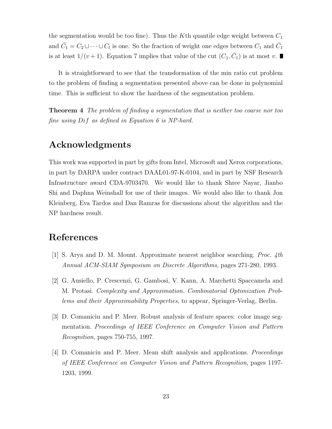the segmentation would be too fine). Thus the K<sup>th</sup> quantile edge weight between  $C_1$ and  $\bar{C}_1 = C_2 \cup \cdots \cup C_l$  is one. So the fraction of weight one edges between  $C_1$  and  $\bar{C}_1$ is at least  $1/(v+1)$ . Equation 7 implies that value of the cut  $(C_1, \bar{C}_1)$  is at most v.

It is straightforward to see that the transformation of the min ratio cut problem to the problem of finding a segmentation presented above can be done in polynomial time. This is sufficient to show the hardness of the segmentation problem.

Theorem 4 The problem of finding a segmentation that is neither too coarse nor too fine using Dif as defined in Equation 6 is NP-hard.

# Acknowledgments

This work was supported in part by gifts from Intel, Microsoft and Xerox corporations, in part by DARPA under contract DAAL01-97-K-0104, and in part by NSF Research Infrastructure award CDA-9703470. We would like to thank Shree Nayar, Jianbo Shi and Daphna Weinshall for use of their images. We would also like to thank Jon Kleinberg, Eva Tardos and Dan Ramras for discussions about the algorithm and the NP hardness result.

# References

- [1] S. Arya and D. M. Mount. Approximate nearest neighbor searching. Proc. 4th Annual ACM-SIAM Symposium on Discrete Algorithms, pages 271-280, 1993.
- [2] G. Ausiello, P. Crescenzi, G. Gambosi, V. Kann, A. Marchetti Spaccamela and M. Protasi. Complexity and Approximation. Combinatorial Optimization Problems and their Approximability Properties, to appear, Springer-Verlag, Berlin.
- [3] D. Comaniciu and P. Meer. Robust analysis of feature spaces: color image segmentation. Proceedings of IEEE Conference on Computer Vision and Pattern Recognition, pages 750-755, 1997.
- [4] D. Comaniciu and P. Meer. Mean shift analysis and applications. Proceedings of IEEE Conference on Computer Vision and Pattern Recognition, pages 1197- 1203, 1999.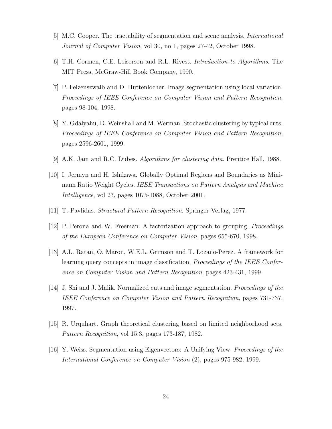- [5] M.C. Cooper. The tractability of segmentation and scene analysis. International Journal of Computer Vision, vol 30, no 1, pages 27-42, October 1998.
- [6] T.H. Cormen, C.E. Leiserson and R.L. Rivest. Introduction to Algorithms. The MIT Press, McGraw-Hill Book Company, 1990.
- [7] P. Felzenszwalb and D. Huttenlocher. Image segmentation using local variation. Proceedings of IEEE Conference on Computer Vision and Pattern Recognition, pages 98-104, 1998.
- [8] Y. Gdalyahu, D. Weinshall and M. Werman. Stochastic clustering by typical cuts. Proceedings of IEEE Conference on Computer Vision and Pattern Recognition, pages 2596-2601, 1999.
- [9] A.K. Jain and R.C. Dubes. Algorithms for clustering data. Prentice Hall, 1988.
- [10] I. Jermyn and H. Ishikawa. Globally Optimal Regions and Boundaries as Minimum Ratio Weight Cycles. IEEE Transactions on Pattern Analysis and Machine Intelligence, vol 23, pages 1075-1088, October 2001.
- [11] T. Pavlidas. Structural Pattern Recognition. Springer-Verlag, 1977.
- [12] P. Perona and W. Freeman. A factorization approach to grouping. Proceedings of the European Conference on Computer Vision, pages 655-670, 1998.
- [13] A.L. Ratan, O. Maron, W.E.L. Grimson and T. Lozano-Perez. A framework for learning query concepts in image classification. Proceedings of the IEEE Conference on Computer Vision and Pattern Recognition, pages 423-431, 1999.
- [14] J. Shi and J. Malik. Normalized cuts and image segmentation. Proceedings of the IEEE Conference on Computer Vision and Pattern Recognition, pages 731-737, 1997.
- [15] R. Urquhart. Graph theoretical clustering based on limited neighborhood sets. Pattern Recognition, vol 15:3, pages 173-187, 1982.
- [16] Y. Weiss. Segmentation using Eigenvectors: A Unifying View. Proceedings of the International Conference on Computer Vision (2), pages 975-982, 1999.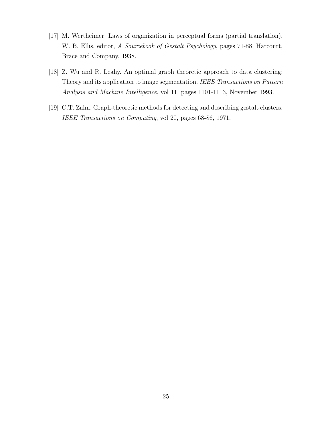- [17] M. Wertheimer. Laws of organization in perceptual forms (partial translation). W. B. Ellis, editor, A Sourcebook of Gestalt Psychology, pages 71-88. Harcourt, Brace and Company, 1938.
- [18] Z. Wu and R. Leahy. An optimal graph theoretic approach to data clustering: Theory and its application to image segmentation. IEEE Transactions on Pattern Analysis and Machine Intelligence, vol 11, pages 1101-1113, November 1993.
- [19] C.T. Zahn. Graph-theoretic methods for detecting and describing gestalt clusters. IEEE Transactions on Computing, vol 20, pages 68-86, 1971.